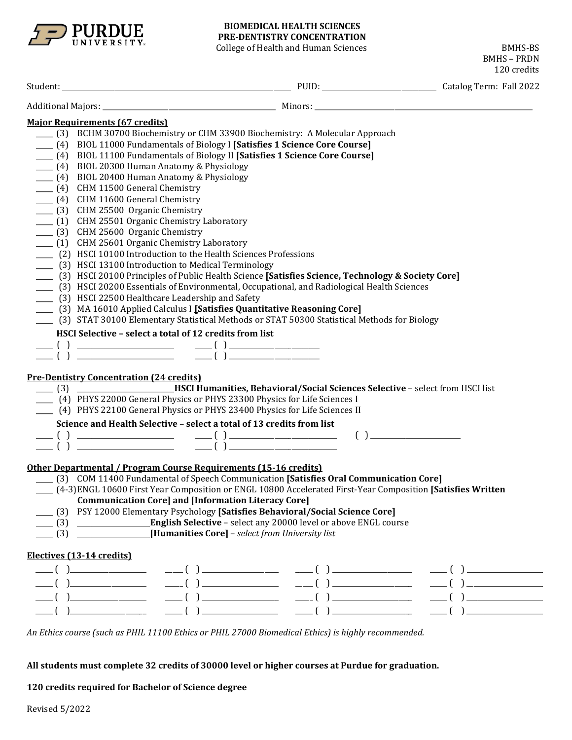

## **BIOMEDICAL HEALTH SCIENCES PRE-DENTISTRY CONCENTRATION**

College of Health and Human Sciences BMHS-BS

BMHS – PRDN 120 credits Student: \_\_\_\_\_\_\_\_\_\_\_\_\_\_\_\_\_\_\_\_\_\_\_\_\_\_\_\_\_\_\_\_\_\_\_\_\_\_\_\_\_\_\_\_\_\_\_\_\_\_\_\_\_\_\_\_\_\_\_\_\_\_\_\_\_\_ PUID: \_\_\_\_\_\_\_\_\_\_\_\_\_\_\_\_\_\_\_\_\_\_\_\_\_\_\_\_\_\_\_\_\_ Catalog Term: Fall 2022 Additional Majors: \_\_\_\_\_\_\_\_\_\_\_\_\_\_\_\_\_\_\_\_\_\_\_\_\_\_\_\_\_\_\_\_\_\_\_\_\_\_\_\_\_\_\_\_\_\_\_\_\_\_ Minors: \_\_\_\_\_\_\_\_\_\_\_\_\_\_\_\_\_\_\_\_\_\_\_\_\_\_\_\_\_\_\_\_\_\_\_\_\_\_\_\_\_\_\_\_\_\_\_\_\_\_\_\_\_\_\_\_\_\_\_\_\_\_\_ **Major Requirements (67 credits)** \_\_\_\_\_ (3) BCHM 30700 Biochemistry or CHM 33900 Biochemistry: A Molecular Approach \_\_\_\_\_ (4) BIOL 11000 Fundamentals of Biology I **[Satisfies 1 Science Core Course]** \_\_\_\_\_ (4) BIOL 11100 Fundamentals of Biology II **[Satisfies 1 Science Core Course]** \_\_\_\_\_ (4) BIOL 20300 Human Anatomy & Physiology  $\frac{1}{2}$  (4) BIOL 20400 Human Anatomy & Physiology \_\_\_\_\_ (4) CHM 11500 General Chemistry \_\_\_\_\_ (4) CHM 11600 General Chemistry \_\_\_\_\_ (3) CHM 25500 Organic Chemistry \_\_\_\_\_ (1) CHM 25501 Organic Chemistry Laboratory \_\_\_\_\_ (3) CHM 25600 Organic Chemistry \_\_\_\_ (1) CHM 25601 Organic Chemistry Laboratory \_\_\_\_\_ (2) HSCI 10100 Introduction to the Health Sciences Professions \_\_\_\_\_ (3) HSCI 13100 Introduction to Medical Terminology \_\_\_\_\_ (3) HSCI 20100 Principles of Public Health Science **[Satisfies Science, Technology & Society Core]** \_\_\_\_\_ (3) HSCI 20200 Essentials of Environmental, Occupational, and Radiological Health Sciences \_\_\_\_\_ (3) HSCI 22500 Healthcare Leadership and Safety \_\_\_\_\_ (3) MA 16010 Applied Calculus I **[Satisfies Quantitative Reasoning Core]** \_\_\_\_\_ (3) STAT 30100 Elementary Statistical Methods or STAT 50300 Statistical Methods for Biology **HSCI Selective – select a total of 12 credits from list** \_\_\_\_\_ ( ) \_\_\_\_\_\_\_\_\_\_\_\_\_\_\_\_\_\_\_\_\_\_\_\_\_\_\_\_ \_\_\_\_\_ ( ) \_\_\_\_\_\_\_\_\_\_\_\_\_\_\_\_\_\_\_\_\_\_\_\_\_\_ \_\_\_\_\_ ( ) \_\_\_\_\_\_\_\_\_\_\_\_\_\_\_\_\_\_\_\_\_\_\_\_\_\_\_\_ \_\_\_\_\_ ( ) \_\_\_\_\_\_\_\_\_\_\_\_\_\_\_\_\_\_\_\_\_\_\_\_\_\_ **Pre-Dentistry Concentration (24 credits)** \_\_\_\_\_ (3) \_\_\_\_\_\_\_\_\_\_\_\_\_\_\_\_\_\_\_\_\_\_\_\_\_\_\_\_**HSCI Humanities, Behavioral/Social Sciences Selective** – select from HSCI list \_\_\_\_\_ (4) PHYS 22000 General Physics or PHYS 23300 Physics for Life Sciences I \_\_\_\_\_ (4) PHYS 22100 General Physics or PHYS 23400 Physics for Life Sciences II **Science and Health Selective – select a total of 13 credits from list** \_\_\_\_\_ ( ) \_\_\_\_\_\_\_\_\_\_\_\_\_\_\_\_\_\_\_\_\_\_\_\_\_\_\_\_ \_\_\_\_\_ ( ) \_\_\_\_\_\_\_\_\_\_\_\_\_\_\_\_\_\_\_\_\_\_\_\_\_\_\_\_\_\_\_ ( ) \_\_\_\_\_\_\_\_\_\_\_\_\_\_\_\_\_\_\_\_\_\_\_\_\_\_ \_\_\_\_\_ ( ) \_\_\_\_\_\_\_\_\_\_\_\_\_\_\_\_\_\_\_\_\_\_\_\_\_\_\_\_ \_\_\_\_\_ ( ) \_\_\_\_\_\_\_\_\_\_\_\_\_\_\_\_\_\_\_\_\_\_\_\_\_\_\_\_\_\_\_ **Other Departmental / Program Course Requirements (15-16 credits)** \_\_\_\_\_ (3) COM 11400 Fundamental of Speech Communication **[Satisfies Oral Communication Core]** \_\_\_\_\_ (4-3)ENGL 10600 First Year Composition or ENGL 10800 Accelerated First-Year Composition **[Satisfies Written Communication Core] and [Information Literacy Core]** \_\_\_\_\_ (3) PSY 12000 Elementary Psychology **[Satisfies Behavioral/Social Science Core]** \_\_\_\_\_ (3) \_\_\_\_\_\_\_\_\_\_\_\_\_\_\_\_\_\_\_\_\_**English Selective** – select any 20000 level or above ENGL course \_\_\_\_\_ (3) \_\_\_\_\_\_\_\_\_\_\_\_\_\_\_\_\_\_\_\_\_**[Humanities Core]** – *select from University list* **Electives (13-14 credits)** \_\_\_\_\_ ( )\_\_\_\_\_\_\_\_\_\_\_\_\_\_\_\_\_\_\_\_\_\_ \_\_\_\_\_ ( ) \_\_\_\_\_\_\_\_\_\_\_\_\_\_\_\_\_\_\_\_\_\_ \_\_\_\_\_ ( ) \_\_\_\_\_\_\_\_\_\_\_\_\_\_\_\_\_\_\_\_\_\_\_ \_\_\_\_\_ ( ) \_\_\_\_\_\_\_\_\_\_\_\_\_\_\_\_\_\_\_\_\_\_ \_\_\_\_\_ ( )\_\_\_\_\_\_\_\_\_\_\_\_\_\_\_\_\_\_\_\_\_\_ \_\_\_\_\_ ( ) \_\_\_\_\_\_\_\_\_\_\_\_\_\_\_\_\_\_\_\_\_\_ \_\_\_\_\_ ( ) \_\_\_\_\_\_\_\_\_\_\_\_\_\_\_\_\_\_\_\_\_\_\_ \_\_\_\_\_ ( ) \_\_\_\_\_\_\_\_\_\_\_\_\_\_\_\_\_\_\_\_\_\_ \_\_\_\_\_ ( )\_\_\_\_\_\_\_\_\_\_\_\_\_\_\_\_\_\_\_\_\_\_ \_\_\_\_\_ ( ) \_\_\_\_\_\_\_\_\_\_\_\_\_\_\_\_\_\_\_\_\_\_ \_\_\_\_\_ ( ) \_\_\_\_\_\_\_\_\_\_\_\_\_\_\_\_\_\_\_\_\_\_\_ \_\_\_\_\_ ( ) \_\_\_\_\_\_\_\_\_\_\_\_\_\_\_\_\_\_\_\_\_\_ \_\_\_\_\_ ( )\_\_\_\_\_\_\_\_\_\_\_\_\_\_\_\_\_\_\_\_\_\_ \_\_\_\_\_ ( ) \_\_\_\_\_\_\_\_\_\_\_\_\_\_\_\_\_\_\_\_\_\_ \_\_\_\_\_ ( ) \_\_\_\_\_\_\_\_\_\_\_\_\_\_\_\_\_\_\_\_\_\_\_ \_\_\_\_\_ ( ) \_\_\_\_\_\_\_\_\_\_\_\_\_\_\_\_\_\_\_\_\_\_

*An Ethics course (such as PHIL 11100 Ethics or PHIL 27000 Biomedical Ethics) is highly recommended.*

**All students must complete 32 credits of 30000 level or higher courses at Purdue for graduation.**

**120 credits required for Bachelor of Science degree**

Revised 5/2022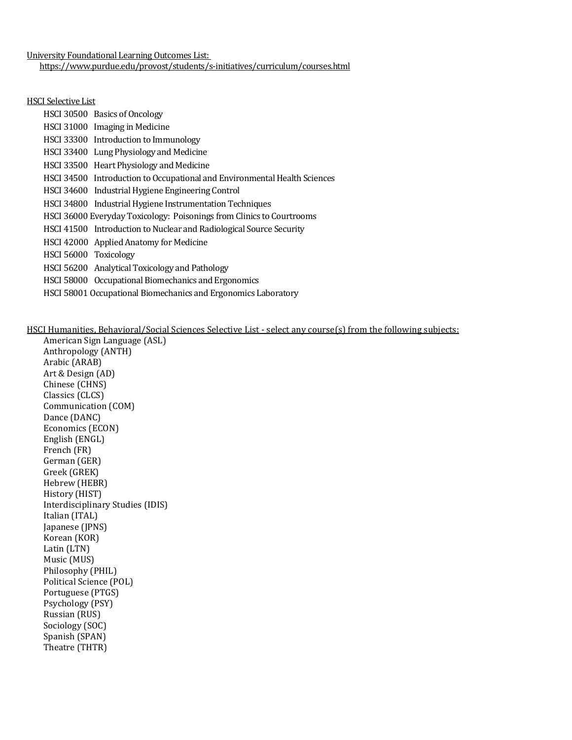University Foundational Learning Outcomes List: <https://www.purdue.edu/provost/students/s-initiatives/curriculum/courses.html>

#### HSCI Selective List

|                       | HSCI 30500 Basics of Oncology                                             |
|-----------------------|---------------------------------------------------------------------------|
|                       | HSCI 31000 Imaging in Medicine                                            |
|                       | HSCI 33300 Introduction to Immunology                                     |
|                       | HSCI 33400 Lung Physiology and Medicine                                   |
|                       | HSCI 33500 Heart Physiology and Medicine                                  |
|                       | HSCI 34500 Introduction to Occupational and Environmental Health Sciences |
|                       | HSCI 34600 Industrial Hygiene Engineering Control                         |
|                       | HSCI 34800 Industrial Hygiene Instrumentation Techniques                  |
|                       | HSCI 36000 Everyday Toxicology: Poisonings from Clinics to Courtrooms     |
|                       | HSCI 41500 Introduction to Nuclear and Radiological Source Security       |
|                       | HSCI 42000 Applied Anatomy for Medicine                                   |
| HSCI 56000 Toxicology |                                                                           |
|                       | HSCI 56200 Analytical Toxicology and Pathology                            |
|                       | HSCI 58000 Occupational Biomechanics and Ergonomics                       |
|                       | HSCI 58001 Occupational Biomechanics and Ergonomics Laboratory            |

### HSCI Humanities, Behavioral/Social Sciences Selective List - select any course(s) from the following subjects:

American Sign Language (ASL) Anthropology (ANTH) Arabic (ARAB) Art & Design (AD) Chinese (CHNS) Classics (CLCS) Communication (COM) Dance (DANC) Economics (ECON) English (ENGL) French (FR) German (GER) Greek (GREK) Hebrew (HEBR) History (HIST) Interdisciplinary Studies (IDIS) Italian (ITAL) Japanese (JPNS) Korean (KOR) Latin (LTN) Music (MUS) Philosophy (PHIL) Political Science (POL) Portuguese (PTGS) Psychology (PSY) Russian (RUS) Sociology (SOC) Spanish (SPAN) Theatre (THTR)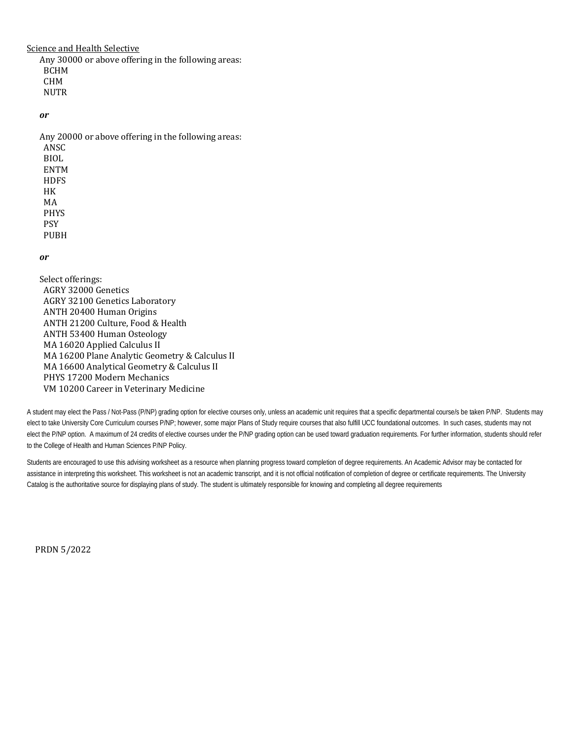Science and Health Selective

Any 30000 or above offering in the following areas: BCHM CHM **NUTR** 

*or* 

Any 20000 or above offering in the following areas: ANSC BIOL ENTM **HDFS** HK MA PHYS PSY PUBH

#### *or*

Select offerings: AGRY 32000 Genetics AGRY 32100 Genetics Laboratory ANTH 20400 Human Origins ANTH 21200 Culture, Food & Health ANTH 53400 Human Osteology MA 16020 Applied Calculus II MA 16200 Plane Analytic Geometry & Calculus II MA 16600 Analytical Geometry & Calculus II PHYS 17200 Modern Mechanics VM 10200 Career in Veterinary Medicine

A student may elect the Pass / Not-Pass (P/NP) grading option for elective courses only, unless an academic unit requires that a specific departmental course/s be taken P/NP. Students may elect to take University Core Curriculum courses P/NP; however, some major Plans of Study require courses that also fulfill UCC foundational outcomes. In such cases, students may not elect the P/NP option. A maximum of 24 credits of elective courses under the P/NP grading option can be used toward graduation requirements. For further information, students should refer to the College of Health and Human Sciences P/NP Policy.

Students are encouraged to use this advising worksheet as a resource when planning progress toward completion of degree requirements. An Academic Advisor may be contacted for assistance in interpreting this worksheet. This worksheet is not an academic transcript, and it is not official notification of completion of degree or certificate requirements. The University Catalog is the authoritative source for displaying plans of study. The student is ultimately responsible for knowing and completing all degree requirements

PRDN 5/2022